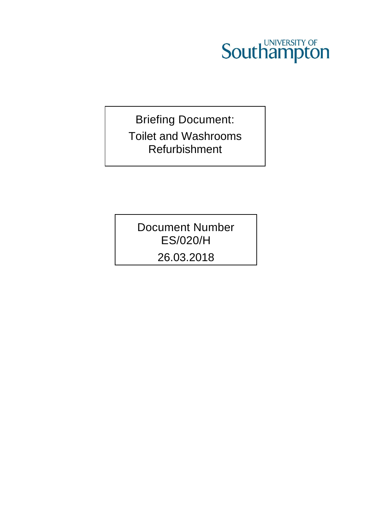

Briefing Document: Toilet and Washrooms Refurbishment

Document Number ES/020/H 26.03.2018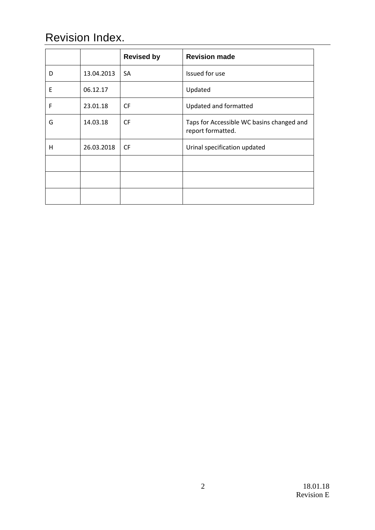# Revision Index.

|   |            | <b>Revised by</b> | <b>Revision made</b>                                           |
|---|------------|-------------------|----------------------------------------------------------------|
| D | 13.04.2013 | SA                | Issued for use                                                 |
| E | 06.12.17   |                   | Updated                                                        |
| F | 23.01.18   | <b>CF</b>         | Updated and formatted                                          |
| G | 14.03.18   | <b>CF</b>         | Taps for Accessible WC basins changed and<br>report formatted. |
| H | 26.03.2018 | <b>CF</b>         | Urinal specification updated                                   |
|   |            |                   |                                                                |
|   |            |                   |                                                                |
|   |            |                   |                                                                |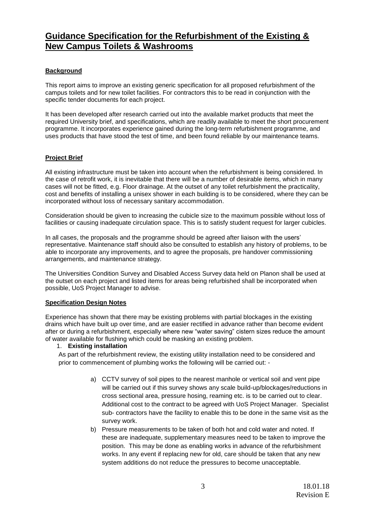## **Guidance Specification for the Refurbishment of the Existing & New Campus Toilets & Washrooms**

## **Background**

This report aims to improve an existing generic specification for all proposed refurbishment of the campus toilets and for new toilet facilities. For contractors this to be read in conjunction with the specific tender documents for each project.

It has been developed after research carried out into the available market products that meet the required University brief, and specifications, which are readily available to meet the short procurement programme. It incorporates experience gained during the long-term refurbishment programme, and uses products that have stood the test of time, and been found reliable by our maintenance teams.

## **Project Brief**

All existing infrastructure must be taken into account when the refurbishment is being considered. In the case of retrofit work, it is inevitable that there will be a number of desirable items, which in many cases will not be fitted, e.g. Floor drainage. At the outset of any toilet refurbishment the practicality, cost and benefits of installing a unisex shower in each building is to be considered, where they can be incorporated without loss of necessary sanitary accommodation.

Consideration should be given to increasing the cubicle size to the maximum possible without loss of facilities or causing inadequate circulation space. This is to satisfy student request for larger cubicles.

In all cases, the proposals and the programme should be agreed after liaison with the users' representative. Maintenance staff should also be consulted to establish any history of problems, to be able to incorporate any improvements, and to agree the proposals, pre handover commissioning arrangements, and maintenance strategy.

The Universities Condition Survey and Disabled Access Survey data held on Planon shall be used at the outset on each project and listed items for areas being refurbished shall be incorporated when possible, UoS Project Manager to advise.

## **Specification Design Notes**

Experience has shown that there may be existing problems with partial blockages in the existing drains which have built up over time, and are easier rectified in advance rather than become evident after or during a refurbishment, especially where new "water saving" cistern sizes reduce the amount of water available for flushing which could be masking an existing problem.

## 1. **Existing installation**

As part of the refurbishment review, the existing utility installation need to be considered and prior to commencement of plumbing works the following will be carried out: -

- a) CCTV survey of soil pipes to the nearest manhole or vertical soil and vent pipe will be carried out if this survey shows any scale build-up/blockages/reductions in cross sectional area, pressure hosing, reaming etc. is to be carried out to clear. Additional cost to the contract to be agreed with UoS Project Manager. Specialist sub- contractors have the facility to enable this to be done in the same visit as the survey work.
- b) Pressure measurements to be taken of both hot and cold water and noted. If these are inadequate, supplementary measures need to be taken to improve the position. This may be done as enabling works in advance of the refurbishment works. In any event if replacing new for old, care should be taken that any new system additions do not reduce the pressures to become unacceptable.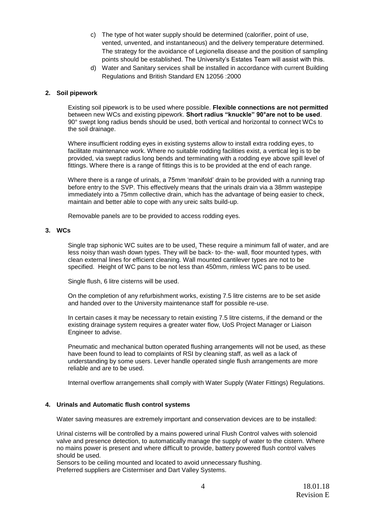- c) The type of hot water supply should be determined (calorifier, point of use, vented, unvented, and instantaneous) and the delivery temperature determined. The strategy for the avoidance of Legionella disease and the position of sampling points should be established. The University's Estates Team will assist with this.
- d) Water and Sanitary services shall be installed in accordance with current Building Regulations and British Standard EN 12056 :2000

## **2. Soil pipework**

Existing soil pipework is to be used where possible. **Flexible connections are not permitted** between new WCs and existing pipework. **Short radius "knuckle" 90°are not to be used**. 90° swept long radius bends should be used, both vertical and horizontal to connect WCs to the soil drainage.

Where insufficient rodding eyes in existing systems allow to install extra rodding eyes, to facilitate maintenance work. Where no suitable rodding facilities exist, a vertical leg is to be provided, via swept radius long bends and terminating with a rodding eye above spill level of fittings. Where there is a range of fittings this is to be provided at the end of each range.

Where there is a range of urinals, a 75mm 'manifold' drain to be provided with a running trap before entry to the SVP. This effectively means that the urinals drain via a 38mm wastepipe immediately into a 75mm collective drain, which has the advantage of being easier to check, maintain and better able to cope with any ureic salts build-up.

Removable panels are to be provided to access rodding eyes.

## **3. WCs**

Single trap siphonic WC suites are to be used. These require a minimum fall of water, and are less noisy than wash down types. They will be back- to- the- wall, floor mounted types, with clean external lines for efficient cleaning. Wall mounted cantilever types are not to be specified. Height of WC pans to be not less than 450mm, rimless WC pans to be used.

Single flush, 6 litre cisterns will be used.

On the completion of any refurbishment works, existing 7.5 litre cisterns are to be set aside and handed over to the University maintenance staff for possible re-use.

In certain cases it may be necessary to retain existing 7.5 litre cisterns, if the demand or the existing drainage system requires a greater water flow, UoS Project Manager or Liaison Engineer to advise.

Pneumatic and mechanical button operated flushing arrangements will not be used, as these have been found to lead to complaints of RSI by cleaning staff, as well as a lack of understanding by some users. Lever handle operated single flush arrangements are more reliable and are to be used.

Internal overflow arrangements shall comply with Water Supply (Water Fittings) Regulations.

## **4. Urinals and Automatic flush control systems**

Water saving measures are extremely important and conservation devices are to be installed:

Urinal cisterns will be controlled by a mains powered urinal Flush Control valves with solenoid valve and presence detection, to automatically manage the supply of water to the cistern. Where no mains power is present and where difficult to provide, battery powered flush control valves should be used.

Sensors to be ceiling mounted and located to avoid unnecessary flushing. Preferred suppliers are Cistermiser and Dart Valley Systems.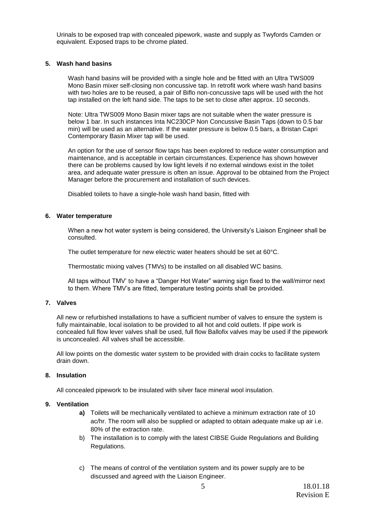Urinals to be exposed trap with concealed pipework, waste and supply as Twyfords Camden or equivalent. Exposed traps to be chrome plated.

## **5. Wash hand basins**

Wash hand basins will be provided with a single hole and be fitted with an Ultra TWS009 Mono Basin mixer self-closing non concussive tap. In retrofit work where wash hand basins with two holes are to be reused, a pair of Biflo non-concussive taps will be used with the hot tap installed on the left hand side. The taps to be set to close after approx. 10 seconds.

Note: Ultra TWS009 Mono Basin mixer taps are not suitable when the water pressure is below 1 bar. In such instances Inta NC230CP Non Concussive Basin Taps (down to 0.5 bar min) will be used as an alternative. If the water pressure is below 0.5 bars, a Bristan Capri Contemporary Basin Mixer tap will be used.

An option for the use of sensor flow taps has been explored to reduce water consumption and maintenance, and is acceptable in certain circumstances. Experience has shown however there can be problems caused by low light levels if no external windows exist in the toilet area, and adequate water pressure is often an issue. Approval to be obtained from the Project Manager before the procurement and installation of such devices.

Disabled toilets to have a single-hole wash hand basin, fitted with

## **6. Water temperature**

When a new hot water system is being considered, the University's Liaison Engineer shall be consulted.

The outlet temperature for new electric water heaters should be set at 60°C.

Thermostatic mixing valves (TMVs) to be installed on all disabled WC basins.

All taps without TMV' to have a "Danger Hot Water" warning sign fixed to the wall/mirror next to them. Where TMV's are fitted, temperature testing points shall be provided.

## **7. Valves**

All new or refurbished installations to have a sufficient number of valves to ensure the system is fully maintainable, local isolation to be provided to all hot and cold outlets. If pipe work is concealed full flow lever valves shall be used, full flow Ballofix valves may be used if the pipework is unconcealed. All valves shall be accessible.

All low points on the domestic water system to be provided with drain cocks to facilitate system drain down.

## **8. Insulation**

All concealed pipework to be insulated with silver face mineral wool insulation.

## **9. Ventilation**

- **a)** Toilets will be mechanically ventilated to achieve a minimum extraction rate of 10 ac/hr. The room will also be supplied or adapted to obtain adequate make up air i.e. 80% of the extraction rate.
- b) The installation is to comply with the latest CIBSE Guide Regulations and Building Regulations.
- c) The means of control of the ventilation system and its power supply are to be discussed and agreed with the Liaison Engineer.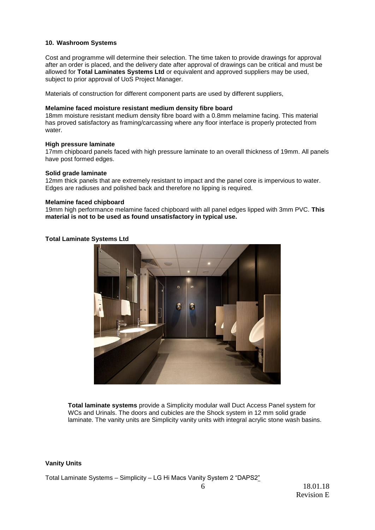## **10. Washroom Systems**

Cost and programme will determine their selection. The time taken to provide drawings for approval after an order is placed, and the delivery date after approval of drawings can be critical and must be allowed for **Total Laminates Systems Ltd** or equivalent and approved suppliers may be used, subject to prior approval of UoS Project Manager.

Materials of construction for different component parts are used by different suppliers,

## **Melamine faced moisture resistant medium density fibre board**

18mm moisture resistant medium density fibre board with a 0.8mm melamine facing. This material has proved satisfactory as framing/carcassing where any floor interface is properly protected from water.

#### **High pressure laminate**

17mm chipboard panels faced with high pressure laminate to an overall thickness of 19mm. All panels have post formed edges.

#### **Solid grade laminate**

12mm thick panels that are extremely resistant to impact and the panel core is impervious to water. Edges are radiuses and polished back and therefore no lipping is required.

#### **Melamine faced chipboard**

19mm high performance melamine faced chipboard with all panel edges lipped with 3mm PVC. **This material is not to be used as found unsatisfactory in typical use.**

## **Total Laminate Systems Ltd**



**Total laminate systems** provide a Simplicity modular wall Duct Access Panel system for WCs and Urinals. The doors and cubicles are the Shock system in 12 mm solid grade laminate. The vanity units are Simplicity vanity units with integral acrylic stone wash basins.

#### **Vanity Units**

Total Laminate Systems – Simplicity – LG Hi Macs Vanity System 2 "DAPS2"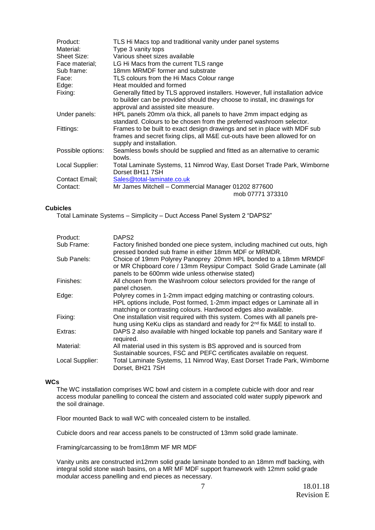| Product:<br>Material: | TLS Hi Macs top and traditional vanity under panel systems<br>Type 3 vanity tops                                                                                                                    |
|-----------------------|-----------------------------------------------------------------------------------------------------------------------------------------------------------------------------------------------------|
| Sheet Size:           | Various sheet sizes available                                                                                                                                                                       |
| Face material;        | LG Hi Macs from the current TLS range                                                                                                                                                               |
| Sub frame:            | 18mm MRMDF former and substrate                                                                                                                                                                     |
| Face:                 | TLS colours from the Hi Macs Colour range                                                                                                                                                           |
| Edge:                 | Heat moulded and formed                                                                                                                                                                             |
| Fixing:               | Generally fitted by TLS approved installers. However, full installation advice<br>to builder can be provided should they choose to install, inc drawings for<br>approval and assisted site measure. |
| Under panels:         | HPL panels 20mm o/a thick, all panels to have 2mm impact edging as<br>standard. Colours to be chosen from the preferred washroom selector.                                                          |
| Fittings:             | Frames to be built to exact design drawings and set in place with MDF sub<br>frames and secret fixing clips, all M&E cut-outs have been allowed for on<br>supply and installation.                  |
| Possible options:     | Seamless bowls should be supplied and fitted as an alternative to ceramic<br>bowls.                                                                                                                 |
| Local Supplier:       | Total Laminate Systems, 11 Nimrod Way, East Dorset Trade Park, Wimborne<br>Dorset BH11 7SH                                                                                                          |
| Contact Email;        | Sales@total-laminate.co.uk                                                                                                                                                                          |
| Contact:              | Mr James Mitchell - Commercial Manager 01202 877600<br>mob 07771 373310                                                                                                                             |

## **Cubicles**

Total Laminate Systems – Simplicity – Duct Access Panel System 2 "DAPS2"

| Product:        | DAPS <sub>2</sub>                                                                                                                                                                                                   |
|-----------------|---------------------------------------------------------------------------------------------------------------------------------------------------------------------------------------------------------------------|
| Sub Frame:      | Factory finished bonded one piece system, including machined cut outs, high<br>pressed bonded sub frame in either 18mm MDF or MRMDR.                                                                                |
| Sub Panels:     | Choice of 19mm Polyrey Panoprey 20mm HPL bonded to a 18mm MRMDF<br>or MR Chipboard core / 13mm Reysipur Compact Solid Grade Laminate (all<br>panels to be 600mm wide unless otherwise stated)                       |
| Finishes:       | All chosen from the Washroom colour selectors provided for the range of<br>panel chosen.                                                                                                                            |
| Edge:           | Polyrey comes in 1-2mm impact edging matching or contrasting colours.<br>HPL options include, Post formed, 1-2mm impact edges or Laminate all in<br>matching or contrasting colours. Hardwood edges also available. |
| Fixing:         | One installation visit required with this system. Comes with all panels pre-<br>hung using KeKu clips as standard and ready for 2 <sup>nd</sup> fix M&E to install to.                                              |
| Extras:         | DAPS 2 also available with hinged lockable top panels and Sanitary ware if<br>required.                                                                                                                             |
| Material:       | All material used in this system is BS approved and is sourced from<br>Sustainable sources, FSC and PEFC certificates available on request.                                                                         |
| Local Supplier: | Total Laminate Systems, 11 Nimrod Way, East Dorset Trade Park, Wimborne<br>Dorset, BH21 7SH                                                                                                                         |

## **WCs**

The WC installation comprises WC bowl and cistern in a complete cubicle with door and rear access modular panelling to conceal the cistern and associated cold water supply pipework and the soil drainage.

Floor mounted Back to wall WC with concealed cistern to be installed.

Cubicle doors and rear access panels to be constructed of 13mm solid grade laminate.

Framing/carcassing to be from18mm MF MR MDF

Vanity units are constructed in12mm solid grade laminate bonded to an 18mm mdf backing, with integral solid stone wash basins, on a MR MF MDF support framework with 12mm solid grade modular access panelling and end pieces as necessary.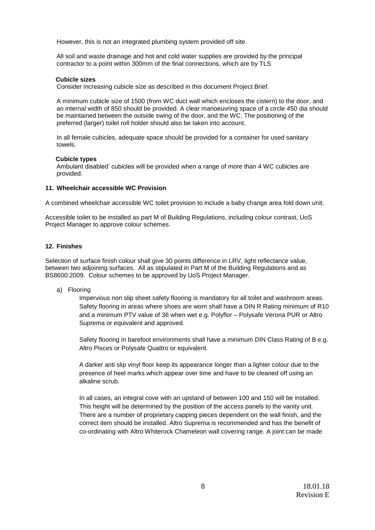However, this is not an integrated plumbing system provided off site.

All soil and waste drainage and hot and cold water supplies are provided by the principal contractor to a point within 300mm of the final connections, which are by TLS

#### **Cubicle sizes**

Consider increasing cubicle size as described in this document Project Brief.

A minimum cubicle size of 1500 (from WC duct wall which encloses the cistern) to the door, and an internal width of 850 should be provided. A clear manoeuvring space of a circle 450 dia should be maintained between the outside swing of the door, and the WC. The positioning of the preferred (larger) toilet roll holder should also be taken into account.

In all female cubicles, adequate space should be provided for a container for used sanitary towels.

## **Cubicle types**

Ambulant disabled' cubicles will be provided when a range of more than 4 WC cubicles are provided.

## **11. Wheelchair accessible WC Provision**

A combined wheelchair accessible WC toilet provision to include a baby change area fold down unit.

Accessible toilet to be installed as part M of Building Regulations, including colour contrast, UoS Project Manager to approve colour schemes.

## **12. Finishes**

Selection of surface finish colour shall give 30 points difference in LRV, light reflectance value, between two adjoining surfaces. All as stipulated in Part M of the Building Regulations and as BS8600:2009. Colour schemes to be approved by UoS Project Manager.

a) Flooring

Impervious non slip sheet safety flooring is mandatory for all toilet and washroom areas. Safety flooring in areas where shoes are worn shall have a DIN R Rating minimum of R10 and a minimum PTV value of 36 when wet e.g. Polyflor – Polysafe Verona PUR or Altro Suprema or equivalent and approved.

Safety flooring in barefoot environments shall have a minimum DIN Class Rating of B e.g. Altro Pisces or Polysafe Quattro or equivalent.

A darker anti slip vinyl floor keep its appearance longer than a lighter colour due to the presence of heel marks which appear over time and have to be cleaned off using an alkaline scrub.

In all cases, an integral cove with an upstand of between 100 and 150 will be installed. This height will be determined by the position of the access panels to the vanity unit. There are a number of proprietary capping pieces dependent on the wall finish, and the correct item should be installed. Altro Suprema is recommended and has the benefit of co-ordinating with Altro Whiterock Chameleon wall covering range. A joint can be made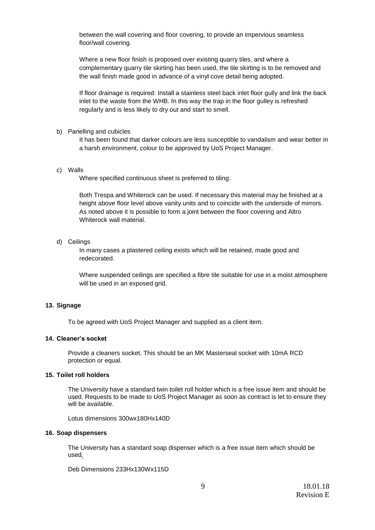between the wall covering and floor covering, to provide an impervious seamless floor/wall covering.

Where a new floor finish is proposed over existing quarry tiles, and where a complementary quarry tile skirting has been used, the tile skirting is to be removed and the wall finish made good in advance of a vinyl cove detail being adopted.

If floor drainage is required: Install a stainless steel back inlet floor gully and link the back inlet to the waste from the WHB. In this way the trap in the floor gulley is refreshed regularly and is less likely to dry out and start to smell.

b) Panelling and cubicles

It has been found that darker colours are less susceptible to vandalism and wear better in a harsh environment, colour to be approved by UoS Project Manager.

c) Walls

Where specified continuous sheet is preferred to tiling.

Both Trespa and Whiterock can be used. If necessary this material may be finished at a height above floor level above vanity units and to coincide with the underside of mirrors. As noted above it is possible to form a joint between the floor covering and Altro Whiterock wall material.

d) Ceilings

In many cases a plastered ceiling exists which will be retained, made good and redecorated.

Where suspended ceilings are specified a fibre tile suitable for use in a moist atmosphere will be used in an exposed grid.

#### **13. Signage**

To be agreed with UoS Project Manager and supplied as a client item.

#### **14. Cleaner's socket**

Provide a cleaners socket. This should be an MK Masterseal socket with 10mA RCD protection or equal.

### **15. Toilet roll holders**

The University have a standard twin toilet roll holder which is a free issue item and should be used. Requests to be made to UoS Project Manager as soon as contract is let to ensure they will be available.

Lotus dimensions 300wx180Hx140D

#### **16. Soap dispensers**

The University has a standard soap dispenser which is a free issue item which should be used.

Deb Dimensions 233Hx130Wx115D